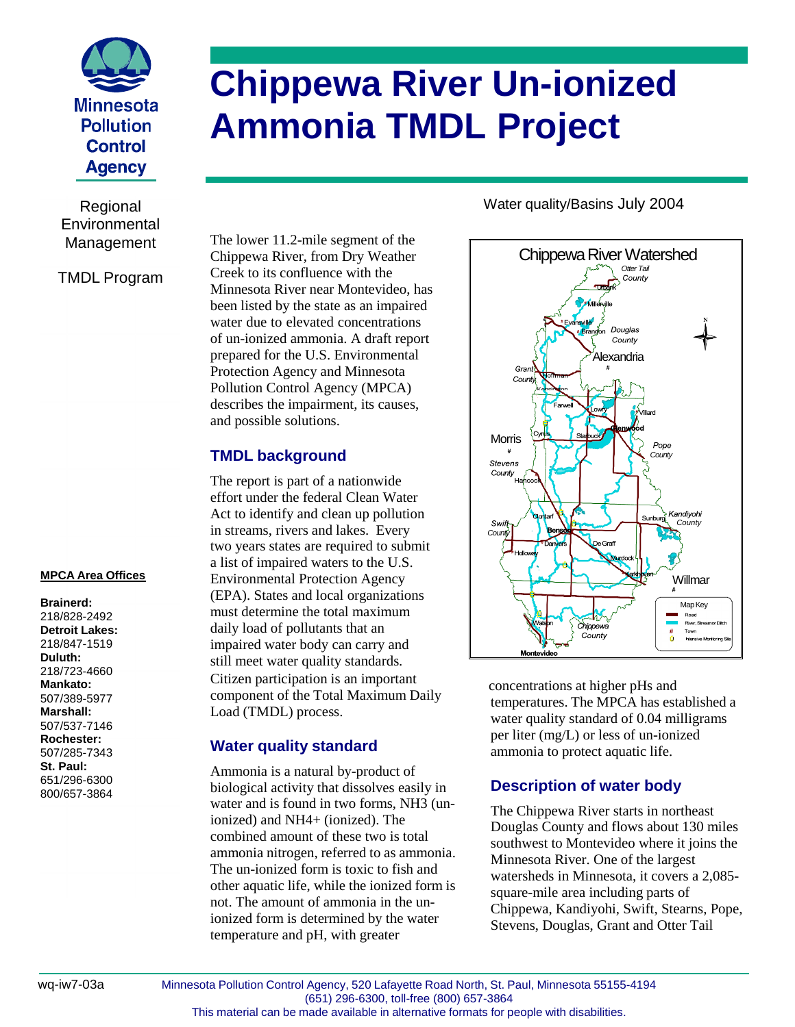

Regional **Environmental** Management

#### TMDL Program

#### **MPCA Area Offices**

**Brainerd:** 218/828-2492 **Detroit Lakes:** 218/847-1519 **Duluth:** 218/723-4660 **Mankato:** 507/389-5977 **Marshall:** 507/537-7146 **Rochester:** 507/285-7343 **St. Paul:** 651/296-6300 800/657-3864

# **Chippewa River Un-ionized Ammonia TMDL Project**

The lower 11.2-mile segment of the Chippewa River, from Dry Weather Creek to its confluence with the Minnesota River near Montevideo, has been listed by the state as an impaired water due to elevated concentrations of un-ionized ammonia. A draft report prepared for the U.S. Environmental Protection Agency and Minnesota Pollution Control Agency (MPCA) describes the impairment, its causes, and possible solutions.

## **TMDL background**

The report is part of a nationwide effort under the federal Clean Water Act to identify and clean up pollution in streams, rivers and lakes. Every two years states are required to submit a list of impaired waters to the U.S. Environmental Protection Agency (EPA). States and local organizations must determine the total maximum daily load of pollutants that an impaired water body can carry and still meet water quality standards. Citizen participation is an important component of the Total Maximum Daily Load (TMDL) process.

### **Water quality standard**

Ammonia is a natural by-product of biological activity that dissolves easily in water and is found in two forms, NH3 (unionized) and NH4+ (ionized). The combined amount of these two is total ammonia nitrogen, referred to as ammonia. The un-ionized form is toxic to fish and other aquatic life, while the ionized form is not. The amount of ammonia in the unionized form is determined by the water temperature and pH, with greater

Water quality/Basins July 2004



concentrations at higher pHs and temperatures. The MPCA has established a water quality standard of 0.04 milligrams per liter (mg/L) or less of un-ionized ammonia to protect aquatic life.

# **Description of water body**

The Chippewa River starts in northeast Douglas County and flows about 130 miles southwest to Montevideo where it joins the Minnesota River. One of the largest watersheds in Minnesota, it covers a 2,085 square-mile area including parts of Chippewa, Kandiyohi, Swift, Stearns, Pope, Stevens, Douglas, Grant and Otter Tail

wq-iw7-03a Minnesota Pollution Control Agency, 520 Lafayette Road North, St. Paul, Minnesota 55155-4194 (651) 296-6300, toll-free (800) 657-3864 This material can be made available in alternative formats for people with disabilities.